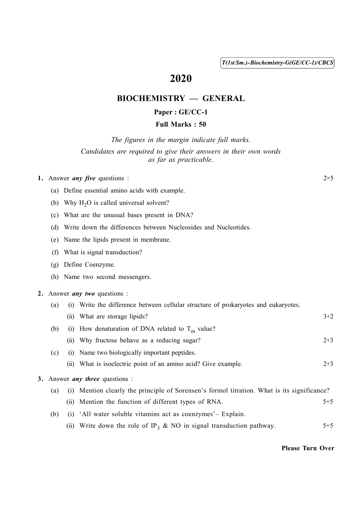( 1 ) *T(1st Sm.)-Biochemistry-G(GE*/*CC-1)*/*CBCS*

# 2020

# BIOCHEMISTRY — GENERAL

### Paper : GE/CC-1

### Full Marks : 50

*The figures in the margin indicate full marks. Candidates are required to give their answers in their own words as far as practicable.*

#### 1. Answer *any five* questions :  $2 \times 5$

- (a) Define essential amino acids with example.
- (b) Why  $H<sub>2</sub>O$  is called universal solvent?
- (c) What are the unusual bases present in DNA?
- (d) Write down the differences between Nucleosides and Nucleotides.
- (e) Name the lipids present in membrane.
- (f) What is signal transduction?
- (g) Define Coenzyme.
- (h) Name two second messengers.

#### 2. Answer *any two* questions :

| (a)                                    |      | (i) Write the difference between cellular structure of prokaryotes and eukaryotes.          |         |  |  |
|----------------------------------------|------|---------------------------------------------------------------------------------------------|---------|--|--|
|                                        | (11) | What are storage lipids?                                                                    | $3+2$   |  |  |
| (b)                                    |      | (i) How denaturation of DNA related to $T_m$ value?                                         |         |  |  |
|                                        | (11) | Why fructose behave as a reducing sugar?                                                    | $2 + 3$ |  |  |
| (c)                                    | (1)  | Name two biologically important peptides.                                                   |         |  |  |
|                                        | (11) | What is isoelectric point of an amino acid? Give example.                                   | $2+3$   |  |  |
| 3. Answer <i>any three</i> questions : |      |                                                                                             |         |  |  |
| $\left( a\right)$                      |      | (i) Mention clearly the principle of Sorensen's formol titration. What is its significance? |         |  |  |
|                                        |      | (ii) Mention the function of different types of RNA.                                        | $5 + 5$ |  |  |
| (b)                                    |      | (i) 'All water soluble vitamins act as coenzymes' – Explain.                                |         |  |  |
|                                        | (11) | Write down the role of IP <sub>3</sub> & NO in signal transduction pathway.                 | $5 + 5$ |  |  |

#### Please Turn Over